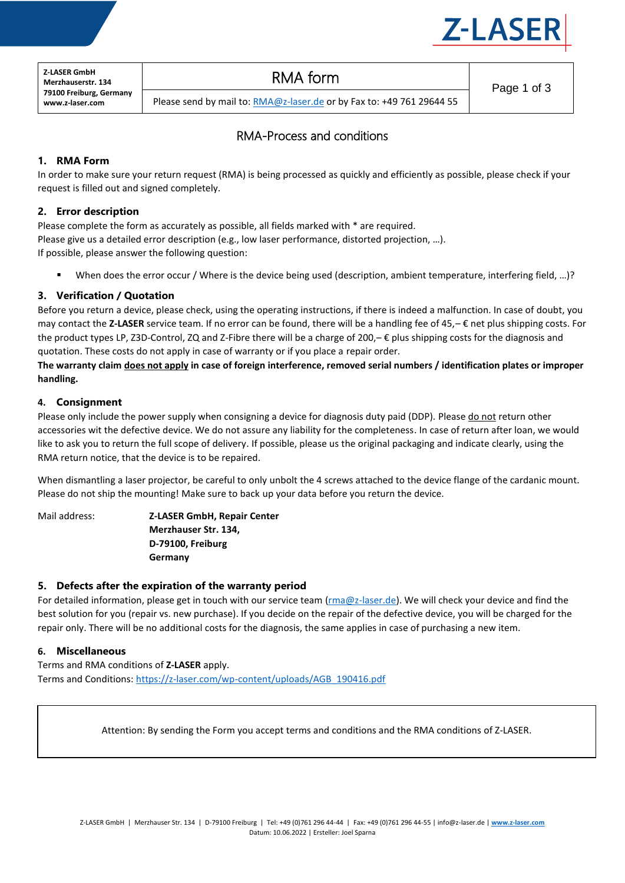

**Z-LASER GmbH Merzhauserstr. 134 79100 Freiburg, Germany www.z-laser.com**

# RMA form

Please send by mail to: [RMA@z-laser.de](mailto:RMA@z-laser.de) or by Fax to: +49 761 29644 55

Page 1 of 3

# RMA-Process and conditions

## **1. RMA Form**

In order to make sure your return request (RMA) is being processed as quickly and efficiently as possible, please check if your request is filled out and signed completely.

# **2. Error description**

Please complete the form as accurately as possible, all fields marked with \* are required. Please give us a detailed error description (e.g., low laser performance, distorted projection, …). If possible, please answer the following question:

When does the error occur / Where is the device being used (description, ambient temperature, interfering field, ...)?

# **3. Verification / Quotation**

Before you return a device, please check, using the operating instructions, if there is indeed a malfunction. In case of doubt, you may contact the **Z-LASER** service team. If no error can be found, there will be a handling fee of 45,– € net plus shipping costs. For the product types LP, Z3D-Control, ZQ and Z-Fibre there will be a charge of 200,– € plus shipping costs for the diagnosis and quotation. These costs do not apply in case of warranty or if you place a repair order.

**The warranty claim does not apply in case of foreign interference, removed serial numbers / identification plates or improper handling.**

#### **4. Consignment**

Please only include the power supply when consigning a device for diagnosis duty paid (DDP). Please do not return other accessories wit the defective device. We do not assure any liability for the completeness. In case of return after loan, we would like to ask you to return the full scope of delivery. If possible, please us the original packaging and indicate clearly, using the RMA return notice, that the device is to be repaired.

When dismantling a laser projector, be careful to only unbolt the 4 screws attached to the device flange of the cardanic mount. Please do not ship the mounting! Make sure to back up your data before you return the device.

Mail address: **Z-LASER GmbH, Repair Center Merzhauser Str. 134, D-79100, Freiburg Germany**

## **5. Defects after the expiration of the warranty period**

For detailed information, please get in touch with our service team ( $rma@z$ -laser.de). We will check your device and find the best solution for you (repair vs. new purchase). If you decide on the repair of the defective device, you will be charged for the repair only. There will be no additional costs for the diagnosis, the same applies in case of purchasing a new item.

## **6. Miscellaneous**

Terms and RMA conditions of **Z-LASER** apply. Terms and Conditions[: https://z-laser.com/wp-content/uploads/AGB\\_190416.pdf](https://z-laser.com/wp-content/uploads/AGB_190416.pdf)

Attention: By sending the Form you accept terms and conditions and the RMA conditions of Z-LASER.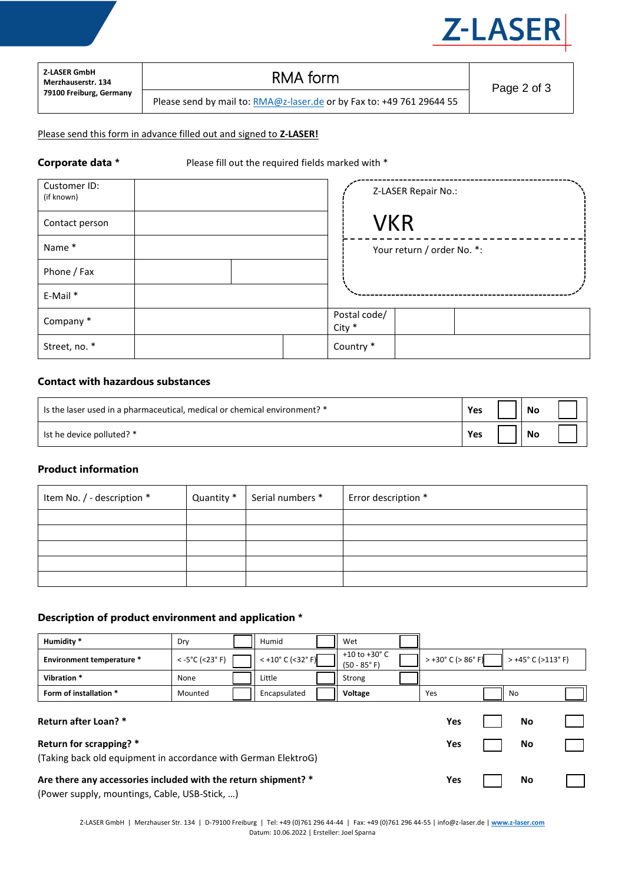

| <b>Z-LASER GmbH</b>     |
|-------------------------|
| Merzhauserstr. 134      |
| 79100 Freiburg, Germany |

# RMA form

Please send by mail to: **RMA@z-laser.de** or by Fax to: +49 761 29644 55

#### Please send this form in advance filled out and signed to **Z-LASER!**

**Corporate data \*** Please fill out the required fields marked with \*

| Customer ID:<br>(if known) |  |                        | Z-LASER Repair No.:        |  |
|----------------------------|--|------------------------|----------------------------|--|
| Contact person             |  | <b>VKR</b>             |                            |  |
| Name*                      |  |                        | Your return / order No. *: |  |
| Phone / Fax                |  |                        |                            |  |
| E-Mail *                   |  |                        |                            |  |
| Company *                  |  | Postal code/<br>City * |                            |  |
| Street, no. *              |  | Country *              |                            |  |

## **Contact with hazardous substances**

| Is the laser used in a pharmaceutical, medical or chemical environment? * | Yes | No |  |
|---------------------------------------------------------------------------|-----|----|--|
| Ist he device polluted? *                                                 | Yes | No |  |

#### **Product information**

| Item No. / - description * | Quantity * | Serial numbers * | Error description * |
|----------------------------|------------|------------------|---------------------|
|                            |            |                  |                     |
|                            |            |                  |                     |
|                            |            |                  |                     |
|                            |            |                  |                     |
|                            |            |                  |                     |

#### **Description of product environment and application \***

| Humidity <sup>*</sup>                                                                                                                                                                                                                                                                                                                                                                                                                                  | Dry                      |  | Humid               |  | Wet                                       |  |                                       |  |                                       |  |
|--------------------------------------------------------------------------------------------------------------------------------------------------------------------------------------------------------------------------------------------------------------------------------------------------------------------------------------------------------------------------------------------------------------------------------------------------------|--------------------------|--|---------------------|--|-------------------------------------------|--|---------------------------------------|--|---------------------------------------|--|
| <b>Environment temperature *</b>                                                                                                                                                                                                                                                                                                                                                                                                                       | $< -5^{\circ}$ C (<23°F) |  | $<$ +10° C (<32° F) |  | +10 to +30 $^{\circ}$ C<br>$(50 - 85° F)$ |  | $> +30^{\circ}$ C ( $> 86^{\circ}$ F) |  | $> +45^{\circ}$ C ( $>113^{\circ}$ F) |  |
| Vibration *                                                                                                                                                                                                                                                                                                                                                                                                                                            | None                     |  | Little              |  | Strong                                    |  |                                       |  |                                       |  |
| Form of installation *                                                                                                                                                                                                                                                                                                                                                                                                                                 | Mounted                  |  | Encapsulated        |  | Voltage                                   |  | Yes                                   |  | No                                    |  |
| Return after Loan? *                                                                                                                                                                                                                                                                                                                                                                                                                                   |                          |  |                     |  |                                           |  | Yes                                   |  | <b>No</b>                             |  |
| Return for scrapping? *                                                                                                                                                                                                                                                                                                                                                                                                                                |                          |  |                     |  | Yes                                       |  | No                                    |  |                                       |  |
| (Taking back old equipment in accordance with German ElektroG)                                                                                                                                                                                                                                                                                                                                                                                         |                          |  |                     |  |                                           |  |                                       |  |                                       |  |
| Are there any accessories included with the return shipment? *<br>$\overline{D}$ $\overline{D}$ $\overline{D}$ $\overline{D}$ $\overline{D}$ $\overline{D}$ $\overline{D}$ $\overline{D}$ $\overline{D}$ $\overline{D}$ $\overline{D}$ $\overline{D}$ $\overline{D}$ $\overline{D}$ $\overline{D}$ $\overline{D}$ $\overline{D}$ $\overline{D}$ $\overline{D}$ $\overline{D}$ $\overline{D}$ $\overline{D}$ $\overline{D}$ $\overline{D}$ $\overline{$ |                          |  |                     |  |                                           |  | Yes                                   |  | <b>No</b>                             |  |

(Power supply, mountings, Cable, USB-Stick, …)